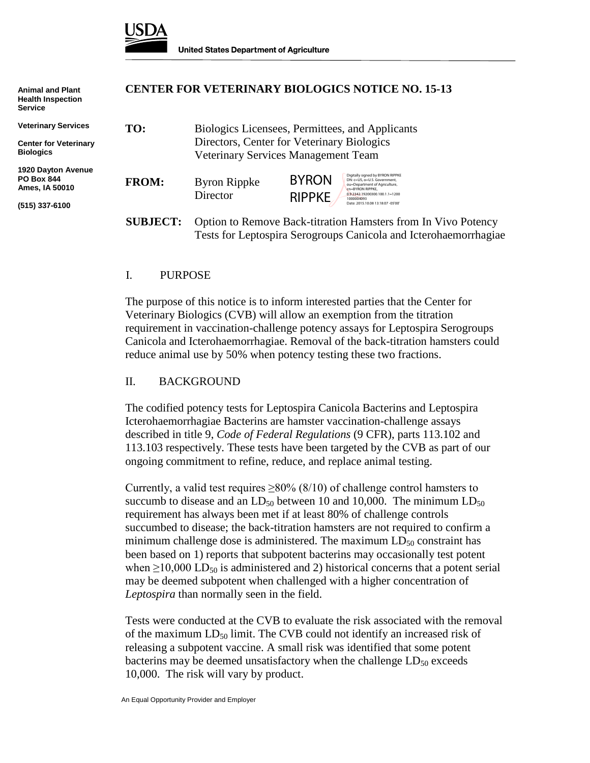

| <b>Animal and Plant</b><br><b>Health Inspection</b><br><b>Service</b> |                 | <b>CENTER FOR VETERINARY BIOLOGICS NOTICE NO. 15-13</b><br>Biologics Licensees, Permittees, and Applicants<br>Directors, Center for Veterinary Biologics<br>Veterinary Services Management Team |                                                                                                                                                                         |  |
|-----------------------------------------------------------------------|-----------------|-------------------------------------------------------------------------------------------------------------------------------------------------------------------------------------------------|-------------------------------------------------------------------------------------------------------------------------------------------------------------------------|--|
| <b>Veterinary Services</b>                                            | TO:             |                                                                                                                                                                                                 |                                                                                                                                                                         |  |
| <b>Center for Veterinary</b>                                          |                 |                                                                                                                                                                                                 |                                                                                                                                                                         |  |
| <b>Biologics</b>                                                      |                 |                                                                                                                                                                                                 |                                                                                                                                                                         |  |
| 1920 Dayton Avenue<br><b>PO Box 844</b><br>Ames, IA 50010             | <b>FROM:</b>    | <b>Byron Rippke</b><br>Director                                                                                                                                                                 | Digitally signed by BYRON RIPPKE<br><b>BYRON</b><br>DN: c=US, o=U.S. Government.<br>ou=Department of Agriculture,<br>cn=BYRON RIPPKE.<br>0.9.2342.19200300.100.1.1=1200 |  |
| (515) 337-6100                                                        |                 |                                                                                                                                                                                                 | <b>RIPPKE</b><br>1000004093<br>Date: 2015.10.08 13:18:07 -05'00'                                                                                                        |  |
|                                                                       | <b>SUBJECT:</b> | Option to Remove Back-titration Hamsters from In Vivo Potency<br>Tests for Leptospira Serogroups Canicola and Icterohaemorrhagiae                                                               |                                                                                                                                                                         |  |

#### I. PURPOSE

The purpose of this notice is to inform interested parties that the Center for Veterinary Biologics (CVB) will allow an exemption from the titration requirement in vaccination-challenge potency assays for Leptospira Serogroups Canicola and Icterohaemorrhagiae. Removal of the back-titration hamsters could reduce animal use by 50% when potency testing these two fractions.

#### II. BACKGROUND

The codified potency tests for Leptospira Canicola Bacterins and Leptospira Icterohaemorrhagiae Bacterins are hamster vaccination-challenge assays described in title 9, *Code of Federal Regulations* (9 CFR), parts 113.102 and 113.103 respectively. These tests have been targeted by the CVB as part of our ongoing commitment to refine, reduce, and replace animal testing.

Currently, a valid test requires  $\geq 80\%$  (8/10) of challenge control hamsters to succumb to disease and an  $LD_{50}$  between 10 and 10,000. The minimum  $LD_{50}$ requirement has always been met if at least 80% of challenge controls succumbed to disease; the back-titration hamsters are not required to confirm a minimum challenge dose is administered. The maximum  $LD_{50}$  constraint has been based on 1) reports that subpotent bacterins may occasionally test potent when  $\geq$ 10,000 LD<sub>50</sub> is administered and 2) historical concerns that a potent serial may be deemed subpotent when challenged with a higher concentration of *Leptospira* than normally seen in the field.

Tests were conducted at the CVB to evaluate the risk associated with the removal of the maximum  $LD_{50}$  limit. The CVB could not identify an increased risk of releasing a subpotent vaccine. A small risk was identified that some potent bacterins may be deemed unsatisfactory when the challenge  $LD_{50}$  exceeds 10,000. The risk will vary by product.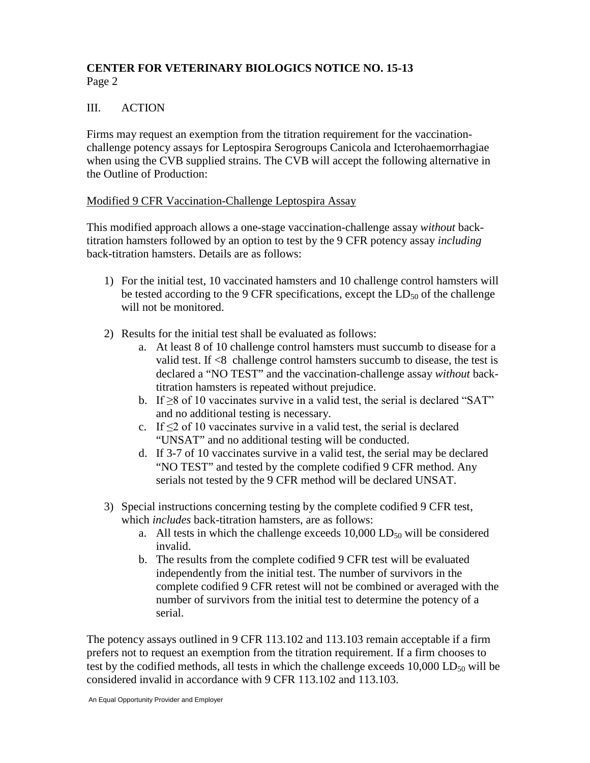## **CENTER FOR VETERINARY BIOLOGICS NOTICE NO. 15-13** Page 2

## III. ACTION

Firms may request an exemption from the titration requirement for the vaccinationchallenge potency assays for Leptospira Serogroups Canicola and Icterohaemorrhagiae when using the CVB supplied strains. The CVB will accept the following alternative in the Outline of Production:

#### Modified 9 CFR Vaccination-Challenge Leptospira Assay

This modified approach allows a one-stage vaccination-challenge assay *without* backtitration hamsters followed by an option to test by the 9 CFR potency assay *including* back-titration hamsters. Details are as follows:

- 1) For the initial test, 10 vaccinated hamsters and 10 challenge control hamsters will be tested according to the 9 CFR specifications, except the  $LD_{50}$  of the challenge will not be monitored.
- 2) Results for the initial test shall be evaluated as follows:
	- a. At least 8 of 10 challenge control hamsters must succumb to disease for a valid test. If <8 challenge control hamsters succumb to disease, the test is declared a "NO TEST" and the vaccination-challenge assay *without* backtitration hamsters is repeated without prejudice.
	- b. If  $\geq$ 8 of 10 vaccinates survive in a valid test, the serial is declared "SAT" and no additional testing is necessary.
	- c. If  $\leq$  2 of 10 vaccinates survive in a valid test, the serial is declared "UNSAT" and no additional testing will be conducted.
	- d. If 3-7 of 10 vaccinates survive in a valid test, the serial may be declared "NO TEST" and tested by the complete codified 9 CFR method. Any serials not tested by the 9 CFR method will be declared UNSAT.
- 3) Special instructions concerning testing by the complete codified 9 CFR test, which *includes* back-titration hamsters, are as follows:
	- a. All tests in which the challenge exceeds  $10,000$  LD<sub>50</sub> will be considered invalid.
	- b. The results from the complete codified 9 CFR test will be evaluated independently from the initial test. The number of survivors in the complete codified 9 CFR retest will not be combined or averaged with the number of survivors from the initial test to determine the potency of a serial.

The potency assays outlined in 9 CFR 113.102 and 113.103 remain acceptable if a firm prefers not to request an exemption from the titration requirement. If a firm chooses to test by the codified methods, all tests in which the challenge exceeds  $10,000$  LD $_{50}$  will be considered invalid in accordance with 9 CFR 113.102 and 113.103.